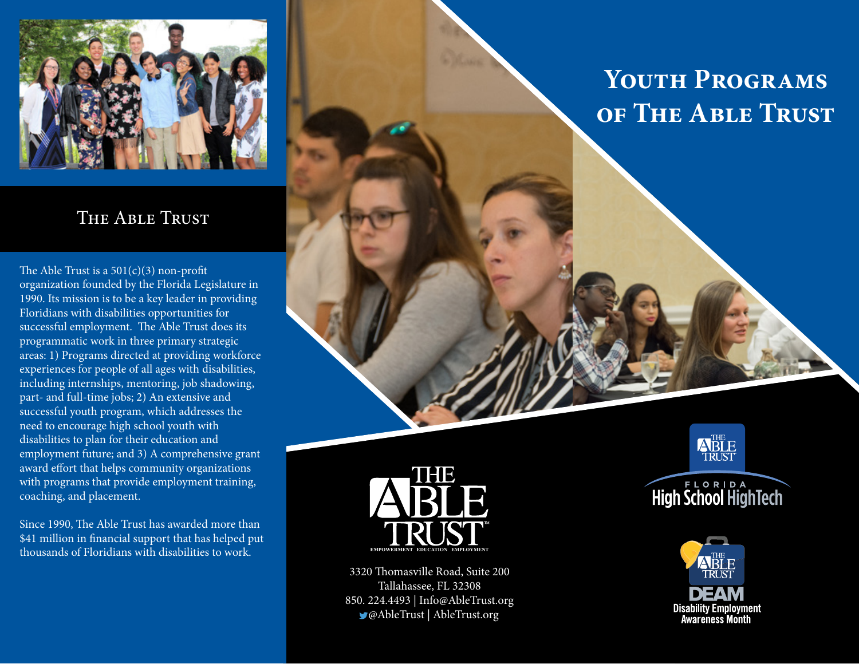

#### The Able Trust

The Able Trust is a  $501(c)(3)$  non-profit organization founded by the Florida Legislature in 1990. Its mission is to be a key leader in providing Floridians with disabilities opportunities for successful employment. The Able Trust does its programmatic work in three primary strategic areas: 1) Programs directed at providing workforce experiences for people of all ages with disabilities, including internships, mentoring, job shadowing, part- and full-time jobs; 2) An extensive and successful youth program, which addresses the need to encourage high school youth with disabilities to plan for their education and employment future; and 3) A comprehensive grant award effort that helps community organizations with programs that provide employment training, coaching, and placement.

Since 1990, The Able Trust has awarded more than \$41 million in financial support that has helped put thousands of Floridians with disabilities to work.

# **Youth Programs of The Able Trust**



3320 Thomasville Road, Suite 200 Tallahassee, FL 32308 850. 224.4493 | Info@AbleTrust.org @AbleTrust | AbleTrust.org